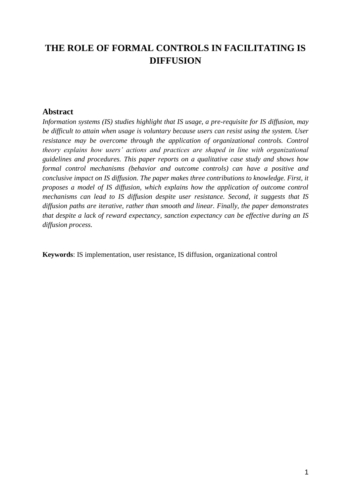# **THE ROLE OF FORMAL CONTROLS IN FACILITATING IS DIFFUSION**

## **Abstract**

*Information systems (IS) studies highlight that IS usage, a pre-requisite for IS diffusion, may be difficult to attain when usage is voluntary because users can resist using the system. User resistance may be overcome through the application of organizational controls. Control theory explains how users' actions and practices are shaped in line with organizational guidelines and procedures. This paper reports on a qualitative case study and shows how formal control mechanisms (behavior and outcome controls) can have a positive and conclusive impact on IS diffusion. The paper makes three contributions to knowledge. First, it proposes a model of IS diffusion, which explains how the application of outcome control mechanisms can lead to IS diffusion despite user resistance. Second, it suggests that IS diffusion paths are iterative, rather than smooth and linear. Finally, the paper demonstrates that despite a lack of reward expectancy, sanction expectancy can be effective during an IS diffusion process.* 

**Keywords**: IS implementation, user resistance, IS diffusion, organizational control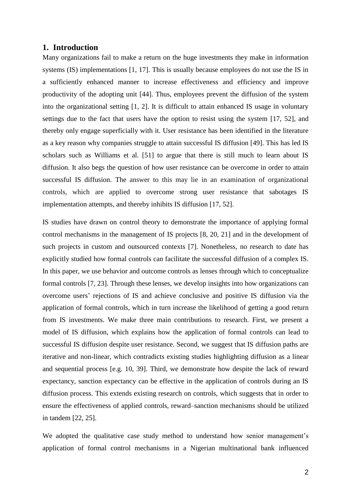## **1. Introduction**

Many organizations fail to make a return on the huge investments they make in information systems (IS) implementations [1, 17]. This is usually because employees do not use the IS in a sufficiently enhanced manner to increase effectiveness and efficiency and improve productivity of the adopting unit [44]. Thus, employees prevent the diffusion of the system into the organizational setting [1, 2]. It is difficult to attain enhanced IS usage in voluntary settings due to the fact that users have the option to resist using the system [17, 52], and thereby only engage superficially with it. User resistance has been identified in the literature as a key reason why companies struggle to attain successful IS diffusion [49]. This has led IS scholars such as Williams et al. [51] to argue that there is still much to learn about IS diffusion. It also begs the question of how user resistance can be overcome in order to attain successful IS diffusion. The answer to this may lie in an examination of organizational controls, which are applied to overcome strong user resistance that sabotages IS implementation attempts, and thereby inhibits IS diffusion [17, 52].

IS studies have drawn on control theory to demonstrate the importance of applying formal control mechanisms in the management of IS projects [8, 20, 21] and in the development of such projects in custom and outsourced contexts [7]. Nonetheless, no research to date has explicitly studied how formal controls can facilitate the successful diffusion of a complex IS. In this paper, we use behavior and outcome controls as lenses through which to conceptualize formal controls [7, 23]. Through these lenses, we develop insights into how organizations can overcome users' rejections of IS and achieve conclusive and positive IS diffusion via the application of formal controls, which in turn increase the likelihood of getting a good return from IS investments. We make three main contributions to research. First, we present a model of IS diffusion, which explains how the application of formal controls can lead to successful IS diffusion despite user resistance. Second, we suggest that IS diffusion paths are iterative and non-linear, which contradicts existing studies highlighting diffusion as a linear and sequential process [e.g. 10, 39]. Third, we demonstrate how despite the lack of reward expectancy, sanction expectancy can be effective in the application of controls during an IS diffusion process. This extends existing research on controls, which suggests that in order to ensure the effectiveness of applied controls, reward–sanction mechanisms should be utilized in tandem [22, 25].

We adopted the qualitative case study method to understand how senior management's application of formal control mechanisms in a Nigerian multinational bank influenced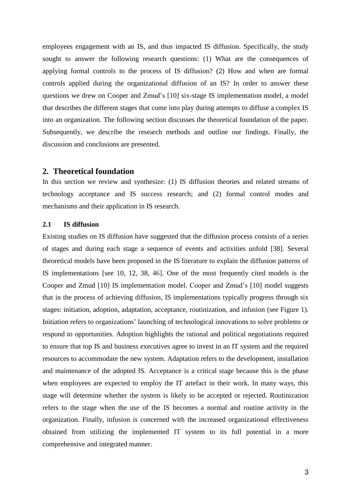employees engagement with an IS, and thus impacted IS diffusion. Specifically, the study sought to answer the following research questions: (1) What are the consequences of applying formal controls to the process of IS diffusion? (2) How and when are formal controls applied during the organizational diffusion of an IS? In order to answer these questions we drew on Cooper and Zmud's [10] six-stage IS implementation model, a model that describes the different stages that come into play during attempts to diffuse a complex IS into an organization. The following section discusses the theoretical foundation of the paper. Subsequently, we describe the research methods and outline our findings. Finally, the discussion and conclusions are presented.

#### **2. Theoretical foundation**

In this section we review and synthesize: (1) IS diffusion theories and related streams of technology acceptance and IS success research; and (2) formal control modes and mechanisms and their application in IS research.

#### **2.1 IS diffusion**

Existing studies on IS diffusion have suggested that the diffusion process consists of a series of stages and during each stage a sequence of events and activities unfold [38]. Several theoretical models have been proposed in the IS literature to explain the diffusion patterns of IS implementations [see 10, 12, 38, 46]. One of the most frequently cited models is the Cooper and Zmud [10] IS implementation model. Cooper and Zmud's [10] model suggests that in the process of achieving diffusion, IS implementations typically progress through six stages: initiation, adoption, adaptation, acceptance, routinization, and infusion (see Figure 1). Initiation refers to organizations' launching of technological innovations to solve problems or respond to opportunities. Adoption highlights the rational and political negotiations required to ensure that top IS and business executives agree to invest in an IT system and the required resources to accommodate the new system. Adaptation refers to the development, installation and maintenance of the adopted IS. Acceptance is a critical stage because this is the phase when employees are expected to employ the IT artefact in their work. In many ways, this stage will determine whether the system is likely to be accepted or rejected. Routinization refers to the stage when the use of the IS becomes a normal and routine activity in the organization. Finally, infusion is concerned with the increased organizational effectiveness obtained from utilizing the implemented IT system to its full potential in a more comprehensive and integrated manner.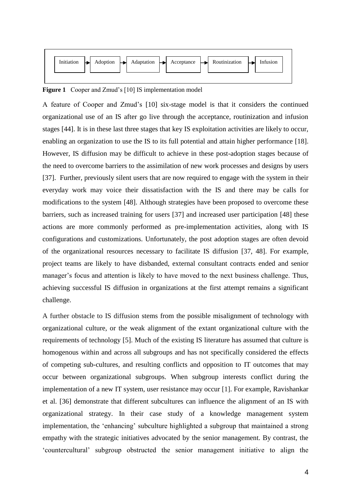

Figure 1 Cooper and Zmud's [10] IS implementation model

A feature of Cooper and Zmud's [10] six-stage model is that it considers the continued organizational use of an IS after go live through the acceptance, routinization and infusion stages [44]. It is in these last three stages that key IS exploitation activities are likely to occur, enabling an organization to use the IS to its full potential and attain higher performance [18]. However, IS diffusion may be difficult to achieve in these post-adoption stages because of the need to overcome barriers to the assimilation of new work processes and designs by users [37]. Further, previously silent users that are now required to engage with the system in their everyday work may voice their dissatisfaction with the IS and there may be calls for modifications to the system [48]. Although strategies have been proposed to overcome these barriers, such as increased training for users [37] and increased user participation [48] these actions are more commonly performed as pre-implementation activities, along with IS configurations and customizations. Unfortunately, the post adoption stages are often devoid of the organizational resources necessary to facilitate IS diffusion [37, 48]. For example, project teams are likely to have disbanded, external consultant contracts ended and senior manager's focus and attention is likely to have moved to the next business challenge. Thus, achieving successful IS diffusion in organizations at the first attempt remains a significant challenge.

A further obstacle to IS diffusion stems from the possible misalignment of technology with organizational culture, or the weak alignment of the extant organizational culture with the requirements of technology [5]. Much of the existing IS literature has assumed that culture is homogenous within and across all subgroups and has not specifically considered the effects of competing sub-cultures, and resulting conflicts and opposition to IT outcomes that may occur between organizational subgroups. When subgroup interests conflict during the implementation of a new IT system, user resistance may occur [1]. For example, Ravishankar et al. [36] demonstrate that different subcultures can influence the alignment of an IS with organizational strategy. In their case study of a knowledge management system implementation, the 'enhancing' subculture highlighted a subgroup that maintained a strong empathy with the strategic initiatives advocated by the senior management. By contrast, the 'countercultural' subgroup obstructed the senior management initiative to align the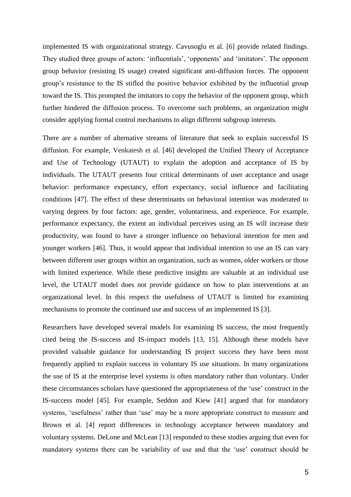implemented IS with organizational strategy. Cavusoglu et al. [6] provide related findings. They studied three groups of actors: 'influentials', 'opponents' and 'imitators'. The opponent group behavior (resisting IS usage) created significant anti-diffusion forces. The opponent group's resistance to the IS stifled the positive behavior exhibited by the influential group toward the IS. This prompted the imitators to copy the behavior of the opponent group, which further hindered the diffusion process. To overcome such problems, an organization might consider applying formal control mechanisms to align different subgroup interests.

There are a number of alternative streams of literature that seek to explain successful IS diffusion. For example, Venkatesh et al. [46] developed the Unified Theory of Acceptance and Use of Technology (UTAUT) to explain the adoption and acceptance of IS by individuals. The UTAUT presents four critical determinants of user acceptance and usage behavior: performance expectancy, effort expectancy, social influence and facilitating conditions [47]. The effect of these determinants on behavioral intention was moderated to varying degrees by four factors: age, gender, voluntariness, and experience. For example, performance expectancy, the extent an individual perceives using an IS will increase their productivity, was found to have a stronger influence on behavioral intention for men and younger workers [46]. Thus, it would appear that individual intention to use an IS can vary between different user groups within an organization, such as women, older workers or those with limited experience. While these predictive insights are valuable at an individual use level, the UTAUT model does not provide guidance on how to plan interventions at an organizational level. In this respect the usefulness of UTAUT is limited for examining mechanisms to promote the continued use and success of an implemented IS [3].

Researchers have developed several models for examining IS success, the most frequently cited being the IS-success and IS-impact models [13, 15]. Although these models have provided valuable guidance for understanding IS project success they have been most frequently applied to explain success in voluntary IS use situations. In many organizations the use of IS at the enterprise level systems is often mandatory rather than voluntary. Under these circumstances scholars have questioned the appropriateness of the 'use' construct in the IS-success model [45]. For example, Seddon and Kiew [41] argued that for mandatory systems, 'usefulness' rather than 'use' may be a more appropriate construct to measure and Brown et al. [4] report differences in technology acceptance between mandatory and voluntary systems. DeLone and McLean [13] responded to these studies arguing that even for mandatory systems there can be variability of use and that the 'use' construct should be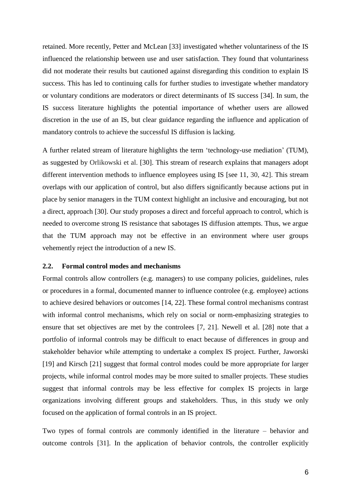retained. More recently, Petter and McLean [33] investigated whether voluntariness of the IS influenced the relationship between use and user satisfaction. They found that voluntariness did not moderate their results but cautioned against disregarding this condition to explain IS success. This has led to continuing calls for further studies to investigate whether mandatory or voluntary conditions are moderators or direct determinants of IS success [34]. In sum, the IS success literature highlights the potential importance of whether users are allowed discretion in the use of an IS, but clear guidance regarding the influence and application of mandatory controls to achieve the successful IS diffusion is lacking.

A further related stream of literature highlights the term 'technology-use mediation' (TUM), as suggested by Orlikowski et al. [30]. This stream of research explains that managers adopt different intervention methods to influence employees using IS [see 11, 30, 42]. This stream overlaps with our application of control, but also differs significantly because actions put in place by senior managers in the TUM context highlight an inclusive and encouraging, but not a direct, approach [30]. Our study proposes a direct and forceful approach to control, which is needed to overcome strong IS resistance that sabotages IS diffusion attempts. Thus, we argue that the TUM approach may not be effective in an environment where user groups vehemently reject the introduction of a new IS.

#### **2.2. Formal control modes and mechanisms**

Formal controls allow controllers (e.g. managers) to use company policies, guidelines, rules or procedures in a formal, documented manner to influence controlee (e.g. employee) actions to achieve desired behaviors or outcomes [14, 22]. These formal control mechanisms contrast with informal control mechanisms, which rely on social or norm-emphasizing strategies to ensure that set objectives are met by the controlees [7, 21]. Newell et al. [28] note that a portfolio of informal controls may be difficult to enact because of differences in group and stakeholder behavior while attempting to undertake a complex IS project. Further, Jaworski [19] and Kirsch [21] suggest that formal control modes could be more appropriate for larger projects, while informal control modes may be more suited to smaller projects. These studies suggest that informal controls may be less effective for complex IS projects in large organizations involving different groups and stakeholders. Thus, in this study we only focused on the application of formal controls in an IS project.

Two types of formal controls are commonly identified in the literature – behavior and outcome controls [31]. In the application of behavior controls, the controller explicitly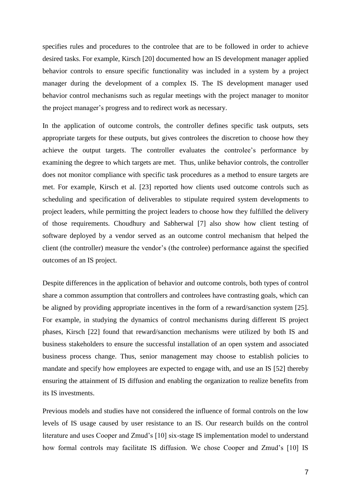specifies rules and procedures to the controlee that are to be followed in order to achieve desired tasks. For example, Kirsch [20] documented how an IS development manager applied behavior controls to ensure specific functionality was included in a system by a project manager during the development of a complex IS. The IS development manager used behavior control mechanisms such as regular meetings with the project manager to monitor the project manager's progress and to redirect work as necessary.

In the application of outcome controls, the controller defines specific task outputs, sets appropriate targets for these outputs, but gives controlees the discretion to choose how they achieve the output targets. The controller evaluates the controlee's performance by examining the degree to which targets are met. Thus, unlike behavior controls, the controller does not monitor compliance with specific task procedures as a method to ensure targets are met. For example, Kirsch et al. [23] reported how clients used outcome controls such as scheduling and specification of deliverables to stipulate required system developments to project leaders, while permitting the project leaders to choose how they fulfilled the delivery of those requirements. Choudhury and Sabherwal [7] also show how client testing of software deployed by a vendor served as an outcome control mechanism that helped the client (the controller) measure the vendor's (the controlee) performance against the specified outcomes of an IS project.

Despite differences in the application of behavior and outcome controls, both types of control share a common assumption that controllers and controlees have contrasting goals, which can be aligned by providing appropriate incentives in the form of a reward/sanction system [25]. For example, in studying the dynamics of control mechanisms during different IS project phases, Kirsch [22] found that reward/sanction mechanisms were utilized by both IS and business stakeholders to ensure the successful installation of an open system and associated business process change. Thus, senior management may choose to establish policies to mandate and specify how employees are expected to engage with, and use an IS [52] thereby ensuring the attainment of IS diffusion and enabling the organization to realize benefits from its IS investments.

Previous models and studies have not considered the influence of formal controls on the low levels of IS usage caused by user resistance to an IS. Our research builds on the control literature and uses Cooper and Zmud's [10] six-stage IS implementation model to understand how formal controls may facilitate IS diffusion. We chose Cooper and Zmud's [10] IS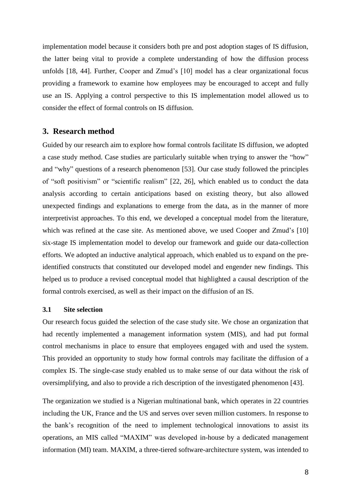implementation model because it considers both pre and post adoption stages of IS diffusion, the latter being vital to provide a complete understanding of how the diffusion process unfolds [18, 44]. Further, Cooper and Zmud's [10] model has a clear organizational focus providing a framework to examine how employees may be encouraged to accept and fully use an IS. Applying a control perspective to this IS implementation model allowed us to consider the effect of formal controls on IS diffusion.

#### **3. Research method**

Guided by our research aim to explore how formal controls facilitate IS diffusion, we adopted a case study method. Case studies are particularly suitable when trying to answer the "how" and "why" questions of a research phenomenon [53]. Our case study followed the principles of "soft positivism" or "scientific realism" [22, 26], which enabled us to conduct the data analysis according to certain anticipations based on existing theory, but also allowed unexpected findings and explanations to emerge from the data, as in the manner of more interpretivist approaches. To this end, we developed a conceptual model from the literature, which was refined at the case site. As mentioned above, we used Cooper and Zmud's [10] six-stage IS implementation model to develop our framework and guide our data-collection efforts. We adopted an inductive analytical approach, which enabled us to expand on the preidentified constructs that constituted our developed model and engender new findings. This helped us to produce a revised conceptual model that highlighted a causal description of the formal controls exercised, as well as their impact on the diffusion of an IS.

#### **3.1 Site selection**

Our research focus guided the selection of the case study site. We chose an organization that had recently implemented a management information system (MIS), and had put formal control mechanisms in place to ensure that employees engaged with and used the system. This provided an opportunity to study how formal controls may facilitate the diffusion of a complex IS. The single-case study enabled us to make sense of our data without the risk of oversimplifying, and also to provide a rich description of the investigated phenomenon [43].

The organization we studied is a Nigerian multinational bank, which operates in 22 countries including the UK, France and the US and serves over seven million customers. In response to the bank's recognition of the need to implement technological innovations to assist its operations, an MIS called "MAXIM" was developed in-house by a dedicated management information (MI) team. MAXIM, a three-tiered software-architecture system, was intended to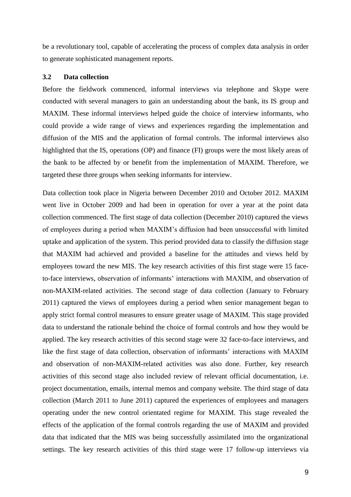be a revolutionary tool, capable of accelerating the process of complex data analysis in order to generate sophisticated management reports.

#### **3.2 Data collection**

Before the fieldwork commenced, informal interviews via telephone and Skype were conducted with several managers to gain an understanding about the bank, its IS group and MAXIM. These informal interviews helped guide the choice of interview informants, who could provide a wide range of views and experiences regarding the implementation and diffusion of the MIS and the application of formal controls. The informal interviews also highlighted that the IS, operations (OP) and finance (FI) groups were the most likely areas of the bank to be affected by or benefit from the implementation of MAXIM. Therefore, we targeted these three groups when seeking informants for interview.

Data collection took place in Nigeria between December 2010 and October 2012. MAXIM went live in October 2009 and had been in operation for over a year at the point data collection commenced. The first stage of data collection (December 2010) captured the views of employees during a period when MAXIM's diffusion had been unsuccessful with limited uptake and application of the system. This period provided data to classify the diffusion stage that MAXIM had achieved and provided a baseline for the attitudes and views held by employees toward the new MIS. The key research activities of this first stage were 15 faceto-face interviews, observation of informants' interactions with MAXIM, and observation of non-MAXIM-related activities. The second stage of data collection (January to February 2011) captured the views of employees during a period when senior management began to apply strict formal control measures to ensure greater usage of MAXIM. This stage provided data to understand the rationale behind the choice of formal controls and how they would be applied. The key research activities of this second stage were 32 face-to-face interviews, and like the first stage of data collection, observation of informants' interactions with MAXIM and observation of non-MAXIM-related activities was also done. Further, key research activities of this second stage also included review of relevant official documentation, i.e. project documentation, emails, internal memos and company website. The third stage of data collection (March 2011 to June 2011) captured the experiences of employees and managers operating under the new control orientated regime for MAXIM. This stage revealed the effects of the application of the formal controls regarding the use of MAXIM and provided data that indicated that the MIS was being successfully assimilated into the organizational settings. The key research activities of this third stage were 17 follow-up interviews via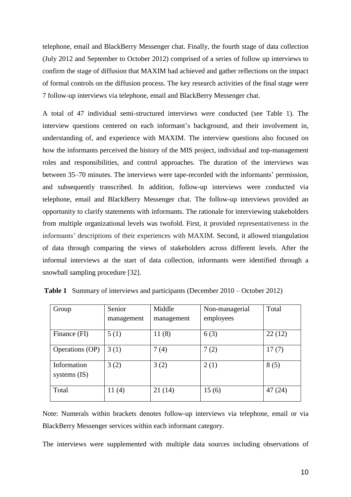telephone, email and BlackBerry Messenger chat. Finally, the fourth stage of data collection (July 2012 and September to October 2012) comprised of a series of follow up interviews to confirm the stage of diffusion that MAXIM had achieved and gather reflections on the impact of formal controls on the diffusion process. The key research activities of the final stage were 7 follow-up interviews via telephone, email and BlackBerry Messenger chat.

A total of 47 individual semi-structured interviews were conducted (see Table 1). The interview questions centered on each informant's background, and their involvement in, understanding of, and experience with MAXIM. The interview questions also focused on how the informants perceived the history of the MIS project, individual and top-management roles and responsibilities, and control approaches. The duration of the interviews was between 35–70 minutes. The interviews were tape-recorded with the informants' permission, and subsequently transcribed. In addition, follow-up interviews were conducted via telephone, email and BlackBerry Messenger chat. The follow-up interviews provided an opportunity to clarify statements with informants. The rationale for interviewing stakeholders from multiple organizational levels was twofold. First, it provided representativeness in the informants' descriptions of their experiences with MAXIM. Second, it allowed triangulation of data through comparing the views of stakeholders across different levels. After the informal interviews at the start of data collection, informants were identified through a snowball sampling procedure [32].

| Group                         | Senior     | Middle     | Non-managerial | Total  |
|-------------------------------|------------|------------|----------------|--------|
|                               | management | management | employees      |        |
| Finance (FI)                  | 5(1)       | 11(8)      | 6(3)           | 22(12) |
| Operations (OP)               | 3(1)       | 7(4)       | 7(2)           | 17(7)  |
| Information<br>systems $(IS)$ | 3(2)       | 3(2)       | 2(1)           | 8(5)   |
| Total                         | 11(4)      | 21(14)     | 15(6)          | 47(24) |

**Table 1** Summary of interviews and participants (December 2010 – October 2012)

Note: Numerals within brackets denotes follow-up interviews via telephone, email or via BlackBerry Messenger services within each informant category.

The interviews were supplemented with multiple data sources including observations of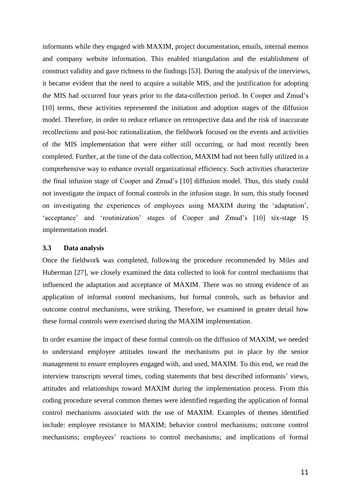informants while they engaged with MAXIM, project documentation, emails, internal memos and company website information. This enabled triangulation and the establishment of construct validity and gave richness to the findings [53]. During the analysis of the interviews, it became evident that the need to acquire a suitable MIS, and the justification for adopting the MIS had occurred four years prior to the data-collection period. In Cooper and Zmud's [10] terms, these activities represented the initiation and adoption stages of the diffusion model. Therefore, in order to reduce reliance on retrospective data and the risk of inaccurate recollections and post-hoc rationalization, the fieldwork focused on the events and activities of the MIS implementation that were either still occurring, or had most recently been completed. Further, at the time of the data collection, MAXIM had not been fully utilized in a comprehensive way to enhance overall organizational efficiency. Such activities characterize the final infusion stage of Cooper and Zmud's [10] diffusion model. Thus, this study could not investigate the impact of formal controls in the infusion stage. In sum, this study focused on investigating the experiences of employees using MAXIM during the 'adaptation', 'acceptance' and 'routinization' stages of Cooper and Zmud's [10] six-stage IS implementation model.

#### **3.3 Data analysis**

Once the fieldwork was completed, following the procedure recommended by Miles and Huberman [27], we closely examined the data collected to look for control mechanisms that influenced the adaptation and acceptance of MAXIM. There was no strong evidence of an application of informal control mechanisms, but formal controls, such as behavior and outcome control mechanisms, were striking. Therefore, we examined in greater detail how these formal controls were exercised during the MAXIM implementation.

In order examine the impact of these formal controls on the diffusion of MAXIM, we needed to understand employee attitudes toward the mechanisms put in place by the senior management to ensure employees engaged with, and used, MAXIM. To this end, we read the interview transcripts several times, coding statements that best described informants' views, attitudes and relationships toward MAXIM during the implementation process. From this coding procedure several common themes were identified regarding the application of formal control mechanisms associated with the use of MAXIM. Examples of themes identified include: employee resistance to MAXIM; behavior control mechanisms; outcome control mechanisms; employees' reactions to control mechanisms; and implications of formal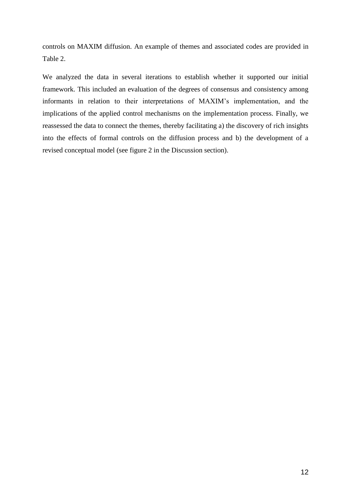controls on MAXIM diffusion. An example of themes and associated codes are provided in Table 2.

We analyzed the data in several iterations to establish whether it supported our initial framework. This included an evaluation of the degrees of consensus and consistency among informants in relation to their interpretations of MAXIM's implementation, and the implications of the applied control mechanisms on the implementation process. Finally, we reassessed the data to connect the themes, thereby facilitating a) the discovery of rich insights into the effects of formal controls on the diffusion process and b) the development of a revised conceptual model (see figure 2 in the Discussion section).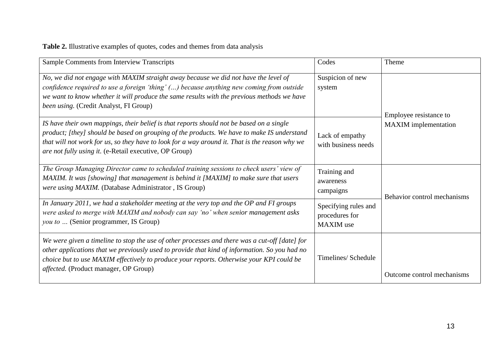**Table 2.** Illustrative examples of quotes, codes and themes from data analysis

| Sample Comments from Interview Transcripts                                                                                                                                                                                                                                                                                                         | Codes                                               | Theme                                                 |  |
|----------------------------------------------------------------------------------------------------------------------------------------------------------------------------------------------------------------------------------------------------------------------------------------------------------------------------------------------------|-----------------------------------------------------|-------------------------------------------------------|--|
| No, we did not engage with MAXIM straight away because we did not have the level of<br>confidence required to use a foreign 'thing' () because anything new coming from outside<br>we want to know whether it will produce the same results with the previous methods we have<br><i>been using.</i> (Credit Analyst, FI Group)                     | Suspicion of new<br>system                          | Employee resistance to<br><b>MAXIM</b> implementation |  |
| IS have their own mappings, their belief is that reports should not be based on a single<br>product; [they] should be based on grouping of the products. We have to make IS understand<br>that will not work for us, so they have to look for a way around it. That is the reason why we<br>are not fully using it. (e-Retail executive, OP Group) | Lack of empathy<br>with business needs              |                                                       |  |
| The Group Managing Director came to scheduled training sessions to check users' view of<br>MAXIM. It was [showing] that management is behind it [MAXIM] to make sure that users<br>were using MAXIM. (Database Administrator, IS Group)                                                                                                            | Training and<br>awareness<br>campaigns              | Behavior control mechanisms                           |  |
| In January 2011, we had a stakeholder meeting at the very top and the OP and FI groups<br>were asked to merge with MAXIM and nobody can say 'no' when senior management asks<br>you to  (Senior programmer, IS Group)                                                                                                                              | Specifying rules and<br>procedures for<br>MAXIM use |                                                       |  |
| We were given a timeline to stop the use of other processes and there was a cut-off [date] for<br>other applications that we previously used to provide that kind of information. So you had no<br>choice but to use MAXIM effectively to produce your reports. Otherwise your KPI could be<br>affected. (Product manager, OP Group)               | Timelines/Schedule                                  | Outcome control mechanisms                            |  |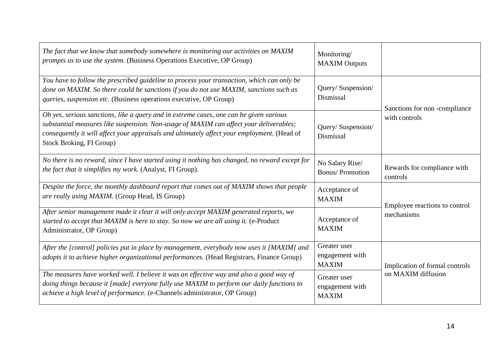| The fact that we know that somebody somewhere is monitoring our activities on MAXIM<br>prompts us to use the system. (Business Operations Executive, OP Group)                                                                                                                                              | Monitoring/<br><b>MAXIM Outputs</b>             |                                                      |  |
|-------------------------------------------------------------------------------------------------------------------------------------------------------------------------------------------------------------------------------------------------------------------------------------------------------------|-------------------------------------------------|------------------------------------------------------|--|
| You have to follow the prescribed guideline to process your transaction, which can only be<br>done on MAXIM. So there could be sanctions if you do not use MAXIM, sanctions such as<br>queries, suspension etc. (Business operations executive, OP Group)                                                   | Query/Suspension/<br>Dismissal                  | Sanctions for non-compliance<br>with controls        |  |
| Oh yes, serious sanctions, like a query and in extreme cases, one can be given various<br>substantial measures like suspension. Non-usage of MAXIM can affect your deliverables;<br>consequently it will affect your appraisals and ultimately affect your employment. (Head of<br>Stock Broking, FI Group) | Query/Suspension/<br>Dismissal                  |                                                      |  |
| No there is no reward, since I have started using it nothing has changed, no reward except for<br>the fact that it simplifies my work. (Analyst, FI Group).                                                                                                                                                 | No Salary Rise/<br><b>Bonus/Promotion</b>       | Rewards for compliance with<br>controls              |  |
| Despite the force, the monthly dashboard report that comes out of MAXIM shows that people<br>are really using MAXIM. (Group Head, IS Group)                                                                                                                                                                 | Acceptance of<br><b>MAXIM</b>                   | Employee reactions to control<br>mechanisms          |  |
| After senior management made it clear it will only accept MAXIM generated reports, we<br>started to accept that MAXIM is here to stay. So now we are all using it. (e-Product<br>Administrator, OP Group)                                                                                                   | Acceptance of<br><b>MAXIM</b>                   |                                                      |  |
| After the [control] policies put in place by management, everybody now uses it [MAXIM] and<br>adopts it to achieve higher organizational performances. (Head Registrars, Finance Group)                                                                                                                     | Greater user<br>engagement with<br><b>MAXIM</b> | Implication of formal controls<br>on MAXIM diffusion |  |
| The measures have worked well. I believe it was an effective way and also a good way of<br>doing things because it [made] everyone fully use MAXIM to perform our daily functions to<br>achieve a high level of performance. (e-Channels administrator, OP Group)                                           | Greater user<br>engagement with<br><b>MAXIM</b> |                                                      |  |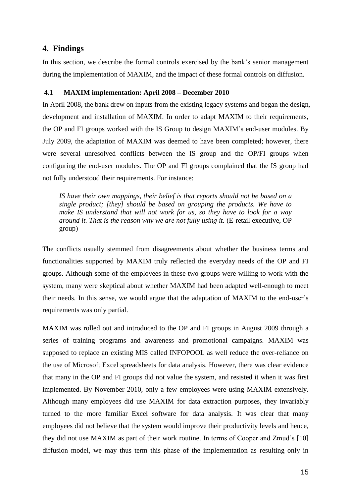## **4. Findings**

In this section, we describe the formal controls exercised by the bank's senior management during the implementation of MAXIM, and the impact of these formal controls on diffusion.

## **4.1 MAXIM implementation: April 2008 – December 2010**

In April 2008, the bank drew on inputs from the existing legacy systems and began the design, development and installation of MAXIM. In order to adapt MAXIM to their requirements, the OP and FI groups worked with the IS Group to design MAXIM's end-user modules. By July 2009, the adaptation of MAXIM was deemed to have been completed; however, there were several unresolved conflicts between the IS group and the OP/FI groups when configuring the end-user modules. The OP and FI groups complained that the IS group had not fully understood their requirements. For instance:

*IS have their own mappings, their belief is that reports should not be based on a single product; [they] should be based on grouping the products. We have to make IS understand that will not work for us, so they have to look for a way around it. That is the reason why we are not fully using it.* (E-retail executive, OP group)

The conflicts usually stemmed from disagreements about whether the business terms and functionalities supported by MAXIM truly reflected the everyday needs of the OP and FI groups. Although some of the employees in these two groups were willing to work with the system, many were skeptical about whether MAXIM had been adapted well-enough to meet their needs. In this sense, we would argue that the adaptation of MAXIM to the end-user's requirements was only partial.

MAXIM was rolled out and introduced to the OP and FI groups in August 2009 through a series of training programs and awareness and promotional campaigns. MAXIM was supposed to replace an existing MIS called INFOPOOL as well reduce the over-reliance on the use of Microsoft Excel spreadsheets for data analysis. However, there was clear evidence that many in the OP and FI groups did not value the system, and resisted it when it was first implemented. By November 2010, only a few employees were using MAXIM extensively. Although many employees did use MAXIM for data extraction purposes, they invariably turned to the more familiar Excel software for data analysis. It was clear that many employees did not believe that the system would improve their productivity levels and hence, they did not use MAXIM as part of their work routine. In terms of Cooper and Zmud's [10] diffusion model, we may thus term this phase of the implementation as resulting only in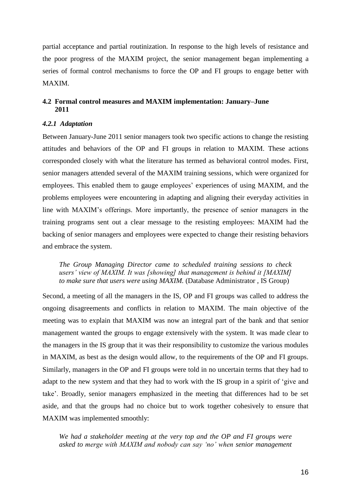partial acceptance and partial routinization. In response to the high levels of resistance and the poor progress of the MAXIM project, the senior management began implementing a series of formal control mechanisms to force the OP and FI groups to engage better with MAXIM.

## **4.2 Formal control measures and MAXIM implementation: January–June 2011**

### *4.2.1 Adaptation*

Between January-June 2011 senior managers took two specific actions to change the resisting attitudes and behaviors of the OP and FI groups in relation to MAXIM. These actions corresponded closely with what the literature has termed as behavioral control modes. First, senior managers attended several of the MAXIM training sessions, which were organized for employees. This enabled them to gauge employees' experiences of using MAXIM, and the problems employees were encountering in adapting and aligning their everyday activities in line with MAXIM's offerings. More importantly, the presence of senior managers in the training programs sent out a clear message to the resisting employees: MAXIM had the backing of senior managers and employees were expected to change their resisting behaviors and embrace the system.

*The Group Managing Director came to scheduled training sessions to check users' view of MAXIM. It was [showing] that management is behind it [MAXIM] to make sure that users were using MAXIM.* (Database Administrator , IS Group)

Second, a meeting of all the managers in the IS, OP and FI groups was called to address the ongoing disagreements and conflicts in relation to MAXIM. The main objective of the meeting was to explain that MAXIM was now an integral part of the bank and that senior management wanted the groups to engage extensively with the system. It was made clear to the managers in the IS group that it was their responsibility to customize the various modules in MAXIM, as best as the design would allow, to the requirements of the OP and FI groups. Similarly, managers in the OP and FI groups were told in no uncertain terms that they had to adapt to the new system and that they had to work with the IS group in a spirit of 'give and take'. Broadly, senior managers emphasized in the meeting that differences had to be set aside, and that the groups had no choice but to work together cohesively to ensure that MAXIM was implemented smoothly:

*We had a stakeholder meeting at the very top and the OP and FI groups were asked to merge with MAXIM and nobody can say 'no' when senior management*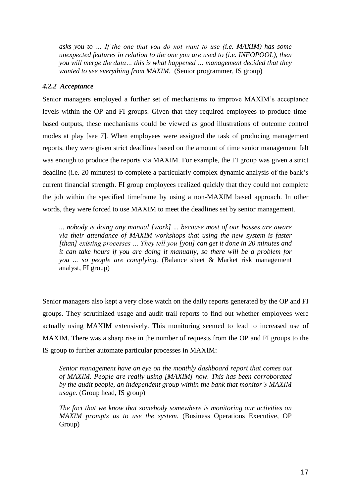*asks you to … If the one that you do not want to use (i.e. MAXIM) has some unexpected features in relation to the one you are used to (i.e. INFOPOOL), then you will merge the data… this is what happened … management decided that they wanted to see everything from MAXIM.* (Senior programmer, IS group)

## *4.2.2 Acceptance*

Senior managers employed a further set of mechanisms to improve MAXIM's acceptance levels within the OP and FI groups. Given that they required employees to produce timebased outputs, these mechanisms could be viewed as good illustrations of outcome control modes at play [see 7]. When employees were assigned the task of producing management reports, they were given strict deadlines based on the amount of time senior management felt was enough to produce the reports via MAXIM. For example, the FI group was given a strict deadline (i.e. 20 minutes) to complete a particularly complex dynamic analysis of the bank's current financial strength. FI group employees realized quickly that they could not complete the job within the specified timeframe by using a non-MAXIM based approach. In other words, they were forced to use MAXIM to meet the deadlines set by senior management.

*... nobody is doing any manual [work] ... because most of our bosses are aware via their attendance of MAXIM workshops that using the new system is faster [than] existing processes … They tell you [you] can get it done in 20 minutes and it can take hours if you are doing it manually, so there will be a problem for you ... so people are complying.* (Balance sheet & Market risk management analyst, FI group)

Senior managers also kept a very close watch on the daily reports generated by the OP and FI groups. They scrutinized usage and audit trail reports to find out whether employees were actually using MAXIM extensively. This monitoring seemed to lead to increased use of MAXIM. There was a sharp rise in the number of requests from the OP and FI groups to the IS group to further automate particular processes in MAXIM:

*Senior management have an eye on the monthly dashboard report that comes out of MAXIM. People are really using [MAXIM] now. This has been corroborated by the audit people, an independent group within the bank that monitor's MAXIM usage.* (Group head, IS group)

*The fact that we know that somebody somewhere is monitoring our activities on MAXIM prompts us to use the system.* (Business Operations Executive, OP Group)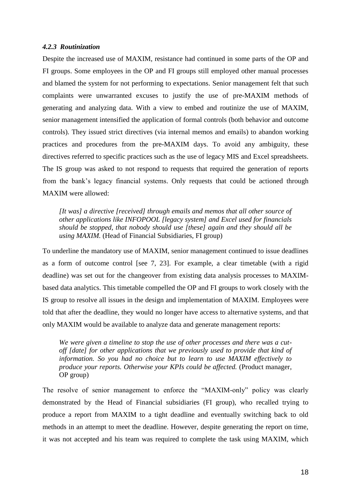#### *4.2.3 Routinization*

Despite the increased use of MAXIM, resistance had continued in some parts of the OP and FI groups. Some employees in the OP and FI groups still employed other manual processes and blamed the system for not performing to expectations. Senior management felt that such complaints were unwarranted excuses to justify the use of pre-MAXIM methods of generating and analyzing data. With a view to embed and routinize the use of MAXIM, senior management intensified the application of formal controls (both behavior and outcome controls). They issued strict directives (via internal memos and emails) to abandon working practices and procedures from the pre-MAXIM days. To avoid any ambiguity, these directives referred to specific practices such as the use of legacy MIS and Excel spreadsheets. The IS group was asked to not respond to requests that required the generation of reports from the bank's legacy financial systems. Only requests that could be actioned through MAXIM were allowed:

*[It was] a directive [received] through emails and memos that all other source of other applications like INFOPOOL [legacy system] and Excel used for financials should be stopped, that nobody should use [these] again and they should all be using MAXIM.* (Head of Financial Subsidiaries, FI group)

To underline the mandatory use of MAXIM, senior management continued to issue deadlines as a form of outcome control [see 7, 23]. For example, a clear timetable (with a rigid deadline) was set out for the changeover from existing data analysis processes to MAXIMbased data analytics. This timetable compelled the OP and FI groups to work closely with the IS group to resolve all issues in the design and implementation of MAXIM. Employees were told that after the deadline, they would no longer have access to alternative systems, and that only MAXIM would be available to analyze data and generate management reports:

*We were given a timeline to stop the use of other processes and there was a cutoff [date] for other applications that we previously used to provide that kind of information. So you had no choice but to learn to use MAXIM effectively to produce your reports. Otherwise your KPIs could be affected.* (Product manager, OP group)

The resolve of senior management to enforce the "MAXIM-only" policy was clearly demonstrated by the Head of Financial subsidiaries (FI group), who recalled trying to produce a report from MAXIM to a tight deadline and eventually switching back to old methods in an attempt to meet the deadline. However, despite generating the report on time, it was not accepted and his team was required to complete the task using MAXIM, which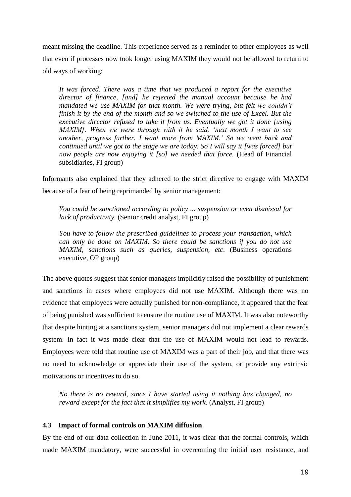meant missing the deadline. This experience served as a reminder to other employees as well that even if processes now took longer using MAXIM they would not be allowed to return to old ways of working:

*It was forced. There was a time that we produced a report for the executive director of finance, [and] he rejected the manual account because he had mandated we use MAXIM for that month. We were trying, but felt we couldn't finish it by the end of the month and so we switched to the use of Excel. But the executive director refused to take it from us. Eventually we got it done [using MAXIM]. When we were through with it he said, 'next month I want to see another, progress further. I want more from MAXIM.' So we went back and continued until we got to the stage we are today. So I will say it [was forced] but now people are now enjoying it [so] we needed that force.* (Head of Financial subsidiaries, FI group)

Informants also explained that they adhered to the strict directive to engage with MAXIM because of a fear of being reprimanded by senior management:

*You could be sanctioned according to policy ... suspension or even dismissal for lack of productivity.* (Senior credit analyst, FI group)

*You have to follow the prescribed guidelines to process your transaction, which can only be done on MAXIM. So there could be sanctions if you do not use MAXIM, sanctions such as queries, suspension, etc*. (Business operations executive, OP group)

The above quotes suggest that senior managers implicitly raised the possibility of punishment and sanctions in cases where employees did not use MAXIM. Although there was no evidence that employees were actually punished for non-compliance, it appeared that the fear of being punished was sufficient to ensure the routine use of MAXIM. It was also noteworthy that despite hinting at a sanctions system, senior managers did not implement a clear rewards system. In fact it was made clear that the use of MAXIM would not lead to rewards. Employees were told that routine use of MAXIM was a part of their job, and that there was no need to acknowledge or appreciate their use of the system, or provide any extrinsic motivations or incentives to do so.

*No there is no reward, since I have started using it nothing has changed, no reward except for the fact that it simplifies my work.* (Analyst, FI group)

#### **4.3 Impact of formal controls on MAXIM diffusion**

By the end of our data collection in June 2011, it was clear that the formal controls, which made MAXIM mandatory, were successful in overcoming the initial user resistance, and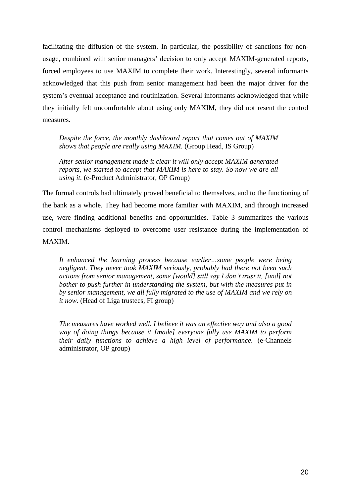facilitating the diffusion of the system. In particular, the possibility of sanctions for nonusage, combined with senior managers' decision to only accept MAXIM-generated reports, forced employees to use MAXIM to complete their work. Interestingly, several informants acknowledged that this push from senior management had been the major driver for the system's eventual acceptance and routinization. Several informants acknowledged that while they initially felt uncomfortable about using only MAXIM, they did not resent the control measures.

*Despite the force, the monthly dashboard report that comes out of MAXIM shows that people are really using MAXIM.* (Group Head, IS Group)

*After senior management made it clear it will only accept MAXIM generated reports, we started to accept that MAXIM is here to stay. So now we are all using it.* (e-Product Administrator, OP Group)

The formal controls had ultimately proved beneficial to themselves, and to the functioning of the bank as a whole. They had become more familiar with MAXIM, and through increased use, were finding additional benefits and opportunities. Table 3 summarizes the various control mechanisms deployed to overcome user resistance during the implementation of MAXIM.

*It enhanced the learning process because earlier…some people were being negligent. They never took MAXIM seriously, probably had there not been such actions from senior management, some [would] still say I don't trust it, [and] not bother to push further in understanding the system, but with the measures put in by senior management, we all fully migrated to the use of MAXIM and we rely on it now.* (Head of Liga trustees, FI group)

*The measures have worked well. I believe it was an effective way and also a good way of doing things because it [made] everyone fully use MAXIM to perform their daily functions to achieve a high level of performance.* (e-Channels administrator, OP group)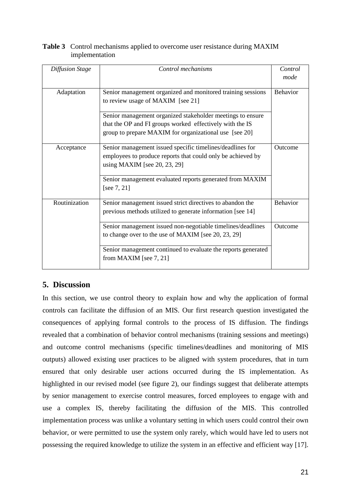| Diffusion Stage | Control mechanisms                                                                                                                                                               |                 |
|-----------------|----------------------------------------------------------------------------------------------------------------------------------------------------------------------------------|-----------------|
|                 |                                                                                                                                                                                  | mode            |
| Adaptation      | Senior management organized and monitored training sessions<br>to review usage of MAXIM [see 21]                                                                                 | Behavior        |
|                 | Senior management organized stakeholder meetings to ensure<br>that the OP and FI groups worked effectively with the IS<br>group to prepare MAXIM for organizational use [see 20] |                 |
| Acceptance      | Senior management issued specific timelines/deadlines for<br>employees to produce reports that could only be achieved by<br>using MAXIM [see $20$ , $23$ , $29$ ]                | Outcome         |
|                 | Senior management evaluated reports generated from MAXIM<br>[see $7, 21$ ]                                                                                                       |                 |
| Routinization   | Senior management issued strict directives to abandon the<br>previous methods utilized to generate information [see 14]                                                          | <b>Behavior</b> |
|                 | Senior management issued non-negotiable timelines/deadlines<br>to change over to the use of MAXIM [see 20, 23, 29]                                                               | Outcome         |
|                 | Senior management continued to evaluate the reports generated<br>from MAXIM [see 7, 21]                                                                                          |                 |

## **Table 3** Control mechanisms applied to overcome user resistance during MAXIM implementation

## **5. Discussion**

In this section, we use control theory to explain how and why the application of formal controls can facilitate the diffusion of an MIS. Our first research question investigated the consequences of applying formal controls to the process of IS diffusion. The findings revealed that a combination of behavior control mechanisms (training sessions and meetings) and outcome control mechanisms (specific timelines/deadlines and monitoring of MIS outputs) allowed existing user practices to be aligned with system procedures, that in turn ensured that only desirable user actions occurred during the IS implementation. As highlighted in our revised model (see figure 2), our findings suggest that deliberate attempts by senior management to exercise control measures, forced employees to engage with and use a complex IS, thereby facilitating the diffusion of the MIS. This controlled implementation process was unlike a voluntary setting in which users could control their own behavior, or were permitted to use the system only rarely, which would have led to users not possessing the required knowledge to utilize the system in an effective and efficient way [17].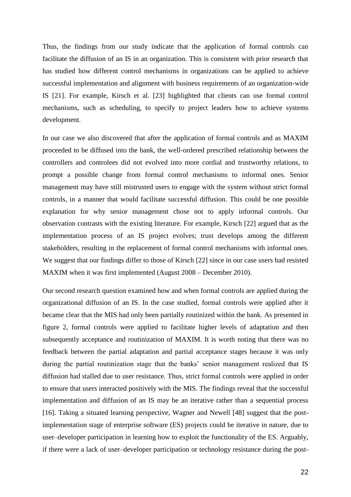Thus, the findings from our study indicate that the application of formal controls can facilitate the diffusion of an IS in an organization. This is consistent with prior research that has studied how different control mechanisms in organizations can be applied to achieve successful implementation and alignment with business requirements of an organization-wide IS [21]. For example, Kirsch et al. [23] highlighted that clients can use formal control mechanisms, such as scheduling, to specify to project leaders how to achieve systems development.

In our case we also discovered that after the application of formal controls and as MAXIM proceeded to be diffused into the bank, the well-ordered prescribed relationship between the controllers and controlees did not evolved into more cordial and trustworthy relations, to prompt a possible change from formal control mechanisms to informal ones. Senior management may have still mistrusted users to engage with the system without strict formal controls, in a manner that would facilitate successful diffusion. This could be one possible explanation for why senior management chose not to apply informal controls. Our observation contrasts with the existing literature. For example, Kirsch [22] argued that as the implementation process of an IS project evolves; trust develops among the different stakeholders, resulting in the replacement of formal control mechanisms with informal ones. We suggest that our findings differ to those of Kirsch [22] since in our case users had resisted MAXIM when it was first implemented (August 2008 – December 2010).

Our second research question examined how and when formal controls are applied during the organizational diffusion of an IS. In the case studied, formal controls were applied after it became clear that the MIS had only been partially routinized within the bank. As presented in figure 2, formal controls were applied to facilitate higher levels of adaptation and then subsequently acceptance and routinization of MAXIM. It is worth noting that there was no feedback between the partial adaptation and partial acceptance stages because it was only during the partial routinization stage that the banks' senior management realized that IS diffusion had stalled due to user resistance. Thus, strict formal controls were applied in order to ensure that users interacted positively with the MIS. The findings reveal that the successful implementation and diffusion of an IS may be an iterative rather than a sequential process [16]. Taking a situated learning perspective, Wagner and Newell [48] suggest that the postimplementation stage of enterprise software (ES) projects could be iterative in nature, due to user–developer participation in learning how to exploit the functionality of the ES. Arguably, if there were a lack of user–developer participation or technology resistance during the post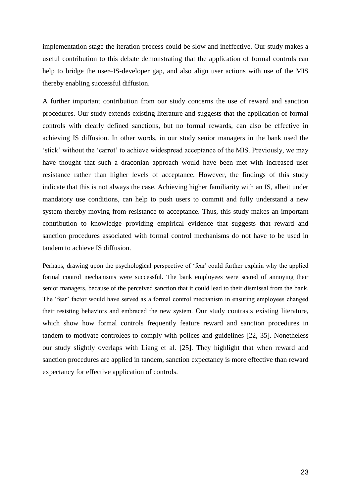implementation stage the iteration process could be slow and ineffective. Our study makes a useful contribution to this debate demonstrating that the application of formal controls can help to bridge the user–IS-developer gap, and also align user actions with use of the MIS thereby enabling successful diffusion.

A further important contribution from our study concerns the use of reward and sanction procedures. Our study extends existing literature and suggests that the application of formal controls with clearly defined sanctions, but no formal rewards, can also be effective in achieving IS diffusion. In other words, in our study senior managers in the bank used the 'stick' without the 'carrot' to achieve widespread acceptance of the MIS. Previously, we may have thought that such a draconian approach would have been met with increased user resistance rather than higher levels of acceptance. However, the findings of this study indicate that this is not always the case. Achieving higher familiarity with an IS, albeit under mandatory use conditions, can help to push users to commit and fully understand a new system thereby moving from resistance to acceptance. Thus, this study makes an important contribution to knowledge providing empirical evidence that suggests that reward and sanction procedures associated with formal control mechanisms do not have to be used in tandem to achieve IS diffusion.

Perhaps, drawing upon the psychological perspective of 'fear' could further explain why the applied formal control mechanisms were successful. The bank employees were scared of annoying their senior managers, because of the perceived sanction that it could lead to their dismissal from the bank. The 'fear' factor would have served as a formal control mechanism in ensuring employees changed their resisting behaviors and embraced the new system. Our study contrasts existing literature, which show how formal controls frequently feature reward and sanction procedures in tandem to motivate controlees to comply with polices and guidelines [22, 35]. Nonetheless our study slightly overlaps with Liang et al. [25]. They highlight that when reward and sanction procedures are applied in tandem, sanction expectancy is more effective than reward expectancy for effective application of controls.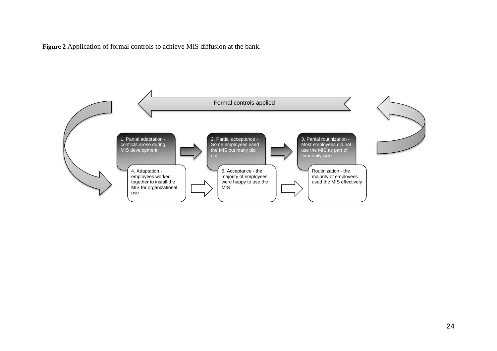**Figure 2** Application of formal controls to achieve MIS diffusion at the bank.

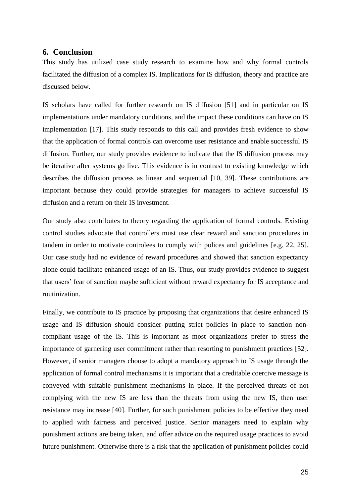## **6. Conclusion**

This study has utilized case study research to examine how and why formal controls facilitated the diffusion of a complex IS. Implications for IS diffusion, theory and practice are discussed below.

IS scholars have called for further research on IS diffusion [51] and in particular on IS implementations under mandatory conditions, and the impact these conditions can have on IS implementation [17]. This study responds to this call and provides fresh evidence to show that the application of formal controls can overcome user resistance and enable successful IS diffusion. Further, our study provides evidence to indicate that the IS diffusion process may be iterative after systems go live. This evidence is in contrast to existing knowledge which describes the diffusion process as linear and sequential [10, 39]. These contributions are important because they could provide strategies for managers to achieve successful IS diffusion and a return on their IS investment.

Our study also contributes to theory regarding the application of formal controls. Existing control studies advocate that controllers must use clear reward and sanction procedures in tandem in order to motivate controlees to comply with polices and guidelines [e.g. 22, 25]. Our case study had no evidence of reward procedures and showed that sanction expectancy alone could facilitate enhanced usage of an IS. Thus, our study provides evidence to suggest that users' fear of sanction maybe sufficient without reward expectancy for IS acceptance and routinization.

Finally, we contribute to IS practice by proposing that organizations that desire enhanced IS usage and IS diffusion should consider putting strict policies in place to sanction noncompliant usage of the IS. This is important as most organizations prefer to stress the importance of garnering user commitment rather than resorting to punishment practices [52]. However, if senior managers choose to adopt a mandatory approach to IS usage through the application of formal control mechanisms it is important that a creditable coercive message is conveyed with suitable punishment mechanisms in place. If the perceived threats of not complying with the new IS are less than the threats from using the new IS, then user resistance may increase [40]. Further, for such punishment policies to be effective they need to applied with fairness and perceived justice. Senior managers need to explain why punishment actions are being taken, and offer advice on the required usage practices to avoid future punishment. Otherwise there is a risk that the application of punishment policies could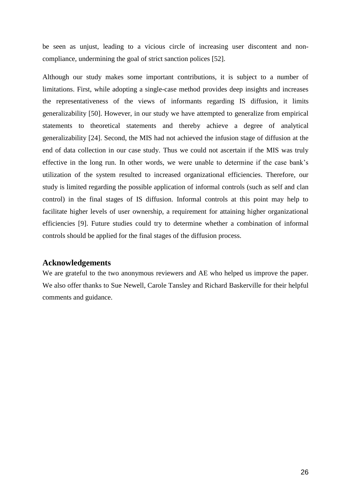be seen as unjust, leading to a vicious circle of increasing user discontent and noncompliance, undermining the goal of strict sanction polices [52].

Although our study makes some important contributions, it is subject to a number of limitations. First, while adopting a single-case method provides deep insights and increases the representativeness of the views of informants regarding IS diffusion, it limits generalizability [50]. However, in our study we have attempted to generalize from empirical statements to theoretical statements and thereby achieve a degree of analytical generalizability [24]. Second, the MIS had not achieved the infusion stage of diffusion at the end of data collection in our case study. Thus we could not ascertain if the MIS was truly effective in the long run. In other words, we were unable to determine if the case bank's utilization of the system resulted to increased organizational efficiencies. Therefore, our study is limited regarding the possible application of informal controls (such as self and clan control) in the final stages of IS diffusion. Informal controls at this point may help to facilitate higher levels of user ownership, a requirement for attaining higher organizational efficiencies [9]. Future studies could try to determine whether a combination of informal controls should be applied for the final stages of the diffusion process.

## **Acknowledgements**

We are grateful to the two anonymous reviewers and AE who helped us improve the paper. We also offer thanks to Sue Newell, Carole Tansley and Richard Baskerville for their helpful comments and guidance.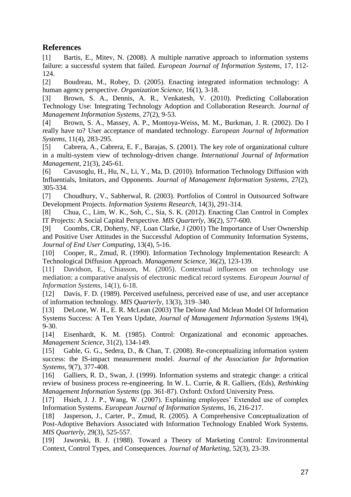# **References**

[1] Bartis, E., Mitev, N. (2008). A multiple narrative approach to information systems failure: a successful system that failed. *European Journal of Information Systems,* 17, 112- 124.

[2] Boudreau, M., Robey, D. (2005). Enacting integrated information technology: A human agency perspective. *Organization Science,* 16(1), 3-18.

[3] Brown, S. A., Dennis, A. R., Venkatesh, V. (2010). Predicting Collaboration Technology Use: Integrating Technology Adoption and Collaboration Research. *Journal of Management Information Systems,* 27(2), 9-53.

[4] Brown, S. A., Massey, A. P., Montoya-Weiss, M. M., Burkman, J. R. (2002). Do I really have to? User acceptance of mandated technology. *European Journal of Information Systems*, 11(4), 283-295.

[5] Cabrera, A., Cabrera, E. F., Barajas, S. (2001). The key role of organizational culture in a multi-system view of technology-driven change. *International Journal of Information Management*, 21(3), 245-61.

[6] Cavusoglu, H., Hu, N., Li, Y., Ma, D. (2010). Information Technology Diffusion with Influentials, Imitators, and Opponents. *Journal of Management Information Systems,* 27(2), 305-334.

[7] Choudhury, V., Sabherwal, R. (2003). Portfolios of Control in Outsourced Software Development Projects. *Information Systems Research,* 14(3), 291-314.

[8] Chua, C., Lim, W. K., Soh, C., Sia, S. K. (2012). Enacting Clan Control in Complex IT Projects: A Social Capital Perspective. *MIS Quarterly,* 36(2), 577-600.

[9] Coombs, CR, Doherty, NF, Loan Clarke, J (2001) The Importance of User Ownership and Positive User Attitudes in the Successful Adoption of Community Information Systems, *Journal of End User Computing*, 13(4), 5-16.

[10] Cooper, R., Zmud, R. (1990). Information Technology Implementation Research: A Technological Diffusion Approach. *Management Science,* 36(2), 123-139.

[11] Davidson, E., Chiasson, M. (2005). Contextual influences on technology use mediation: a comparative analysis of electronic medical record systems. *European Journal of Information Systems,* 14(1), 6-18.

[12] Davis, F. D. (1989). Perceived usefulness, perceived ease of use, and user acceptance of information technology. *MIS Quarterly,* 13(3), 319–340.

[13] DeLone, W. H., E. R. McLean (2003) The Delone And Mclean Model Of Information Systems Success: A Ten Years Update, *Journal of Management Information Systems* 19(4), 9-30.

[14] Eisenhardt, K. M. (1985). Control: Organizational and economic approaches. *Management Science,* 31(2), 134-149.

[15] Gable, G. G., Sedera, D., & Chan, T. (2008). Re-conceptualizing information system success: the IS-impact measurement model. *Journal of the Association for Information Systems*, 9(7), 377-408.

[16] Galliers, R. D., Swan, J. (1999). Information systems and strategic change: a critical review of business process re-engineering. In W. L. Currie, & R. Galliers, (Eds), *Rethinking Management Information Systems* (pp. 361-87). Oxford: Oxford University Press.

[17] Hsieh, J. J. P., Wang, W. (2007). Explaining employees' Extended use of complex Information Systems. *European Journal of Information Systems,* 16, 216-217.

[18] Jasperson, J., Carter, P., Zmud, R. (2005). A Comprehensive Conceptualization of Post-Adoptive Behaviors Associated with Information Technology Enabled Work Systems. *MIS Quarterly,* 29(3), 525-557.

[19] Jaworski, B. J. (1988). Toward a Theory of Marketing Control: Environmental Context, Control Types, and Consequences. *Journal of Marketing,* 52(3), 23-39.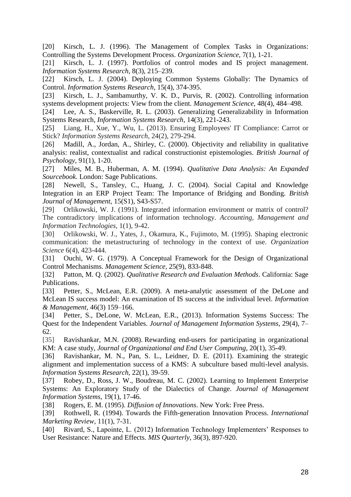[20] Kirsch, L. J. (1996). The Management of Complex Tasks in Organizations: Controlling the Systems Development Process. *Organization Science,* 7(1), 1-21.

[21] Kirsch, L. J. (1997). Portfolios of control modes and IS project management. *Information Systems Research,* 8(3), 215–239.

[22] Kirsch, L. J. (2004). Deploying Common Systems Globally: The Dynamics of Control. *Information Systems Research,* 15(4), 374-395.

[23] Kirsch, L. J., Sambamurthy, V. K. D., Purvis, R. (2002). Controlling information systems development projects: View from the client. *Management Science,* 48(4), 484–498.

[24] Lee, A. S., Baskerville, R. L. (2003). Generalizing Generalizability in Information Systems Research, *Information Systems Research,* 14(3), 221-243.

[25] Liang, H., Xue, Y., Wu, L. (2013). Ensuring Employees' IT Compliance: Carrot or Stick? *Information Systems Research,* 24(2), 279-294.

[26] Madill, A., Jordan, A., Shirley, C. (2000). Objectivity and reliability in qualitative analysis: realist, contextualist and radical constructionist epistemologies. *British Journal of Psychology,* 91(1), 1-20.

[27] Miles, M. B., Huberman, A. M. (1994). *Qualitative Data Analysis: An Expanded Sourcebook*. London: Sage Publications.

[28] Newell, S., Tansley, C., Huang, J. C. (2004). Social Capital and Knowledge Integration in an ERP Project Team: The Importance of Bridging and Bonding. *British Journal of Management,* 15(S1), S43-S57.

[29] Orlikowski, W. J. (1991). Integrated information environment or matrix of control? The contradictory implications of information technology. *Accounting, Management and Information Technologies,* 1(1), 9-42.

[30] Orlikowski, W. J., Yates, J., Okamura, K., Fujimoto, M. (1995). Shaping electronic communication: the metastructuring of technology in the context of use. *Organization Science* 6(4), 423-444.

[31] Ouchi, W. G. (1979). A Conceptual Framework for the Design of Organizational Control Mechanisms. *Management Science,* 25(9), 833-848.

[32] Patton, M. Q. (2002). *Qualitative Research and Evaluation Methods*. California: Sage Publications.

[33] Petter, S., McLean, E.R. (2009). A meta-analytic assessment of the DeLone and McLean IS success model: An examination of IS success at the individual level. *Information & Management,* 46(3) 159–166.

[34] Petter, S., DeLone, W. McLean, E.R., (2013). Information Systems Success: The Quest for the Independent Variables. *Journal of Management Information Systems*, 29(4), 7– 62.

[35] Ravishankar, M.N. (2008). Rewarding end-users for participating in organizational [KM: A case study,](http://dx.doi.org/10.4018/joeuc.2008010103) *Journal of Organizational and End User Computing*, 20(1), 35-49.

[36] Ravishankar, M. N., Pan, S. L., Leidner, D. E. (2011). Examining the strategic alignment and implementation success of a KMS: A subculture based multi-level analysis. *Information Systems Research,* 22(1), 39-59.

[37] Robey, D., Ross, J. W., Boudreau, M. C. (2002). Learning to Implement Enterprise Systems: An Exploratory Study of the Dialectics of Change. *Journal of Management Information Systems,* 19(1), 17-46.

[38] Rogers, E. M. (1995). *Diffusion of Innovations*. New York: Free Press.

[39] Rothwell, R. (1994). Towards the Fifth-generation Innovation Process. *International Marketing Review,* 11(1), 7-31.

[40] Rivard, S., Lapointe, L. (2012) Information Technology Implementers' Responses to User Resistance: Nature and Effects. *MIS Quarterly*, 36(3), 897-920.